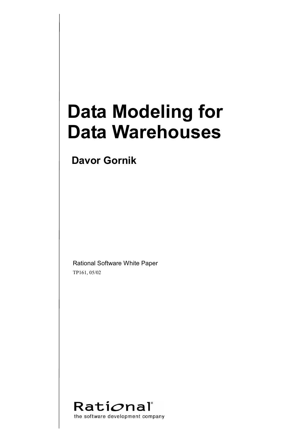# **Data Modeling for Data Warehouses**

**Davor Gornik** 

Rational Software White Paper TP161, 05/02

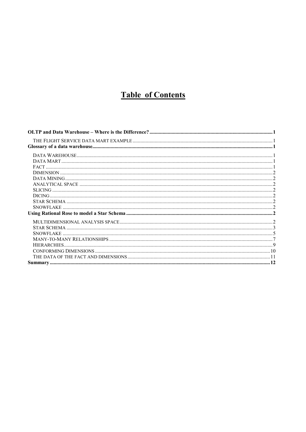### **Table of Contents**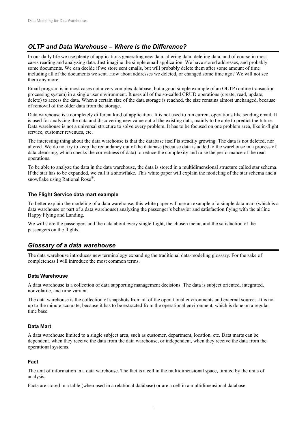#### *OLTP and Data Warehouse – Where is the Difference?*

In our daily life we use plenty of applications generating new data, altering data, deleting data, and of course in most cases reading and analyzing data. Just imagine the simple email application. We have stored addresses, and probably some documents. We can decide if we store sent emails, but will probably delete them after some amount of time including all of the documents we sent. How about addresses we deleted, or changed some time ago? We will not see them any more.

Email program is in most cases not a very complex database, but a good simple example of an OLTP (online transaction processing system) in a single user environment. It uses all of the so-called CRUD operations (create, read, update, delete) to access the data. When a certain size of the data storage is reached, the size remains almost unchanged, because of removal of the older data from the storage.

Data warehouse is a completely different kind of application. It is not used to run current operations like sending email. It is used for analyzing the data and discovering new value out of the existing data, mainly to be able to predict the future. Data warehouse is not a universal structure to solve every problem. It has to be focused on one problem area, like in-flight service, customer revenues, etc.

The interesting thing about the data warehouse is that the database itself is steadily growing. The data is not deleted, nor altered. We do not try to keep the redundancy out of the database (because data is added to the warehouse in a process of data cleansing, which checks the correctness of data) to reduce the complexity and raise the performance of the read operations.

To be able to analyze the data in the data warehouse, the data is stored in a multidimensional structure called star schema. If the star has to be expanded, we call it a snowflake. This white paper will explain the modeling of the star schema and a snowflake using Rational Rose<sup>®</sup>.

#### **The Flight Service data mart example**

To better explain the modeling of a data warehouse, this white paper will use an example of a simple data mart (which is a data warehouse or part of a data warehouse) analyzing the passenger's behavior and satisfaction flying with the airline Happy Flying and Landing.

We will store the passengers and the data about every single flight, the chosen menu, and the satisfaction of the passengers on the flights.

#### *Glossary of a data warehouse*

The data warehouse introduces new terminology expanding the traditional data-modeling glossary. For the sake of completeness I will introduce the most common terms.

#### **Data Warehouse**

A data warehouse is a collection of data supporting management decisions. The data is subject oriented, integrated, nonvolatile, and time variant.

The data warehouse is the collection of snapshots from all of the operational environments and external sources. It is not up to the minute accurate, because it has to be extracted from the operational environment, which is done on a regular time base.

#### **Data Mart**

A data warehouse limited to a single subject area, such as customer, department, location, etc. Data marts can be dependent, when they receive the data from the data warehouse, or independent, when they receive the data from the operational systems.

#### **Fact**

The unit of information in a data warehouse. The fact is a cell in the multidimensional space, limited by the units of analysis.

Facts are stored in a table (when used in a relational database) or are a cell in a multidimensional database.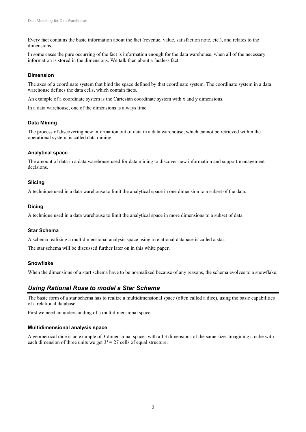Every fact contains the basic information about the fact (revenue, value, satisfaction note, etc.), and relates to the dimensions.

In some cases the pure occurring of the fact is information enough for the data warehouse, when all of the necessary information is stored in the dimensions. We talk then about a factless fact.

#### **Dimension**

The axes of a coordinate system that bind the space defined by that coordinate system. The coordinate system in a data warehouse defines the data cells, which contain facts.

An example of a coordinate system is the Cartesian coordinate system with x and y dimensions.

In a data warehouse, one of the dimensions is always time.

#### **Data Mining**

The process of discovering new information out of data in a data warehouse, which cannot be retrieved within the operational system, is called data mining.

#### **Analytical space**

The amount of data in a data warehouse used for data mining to discover new information and support management decisions.

#### **Slicing**

A technique used in a data warehouse to limit the analytical space in one dimension to a subset of the data.

#### **Dicing**

A technique used in a data warehouse to limit the analytical space in more dimensions to a subset of data.

#### **Star Schema**

A schema realizing a multidimensional analysis space using a relational database is called a star.

The star schema will be discussed further later on in this white paper.

#### **Snowflake**

When the dimensions of a start schema have to be normalized because of any reasons, the schema evolves to a snowflake.

#### *Using Rational Rose to model a Star Schema*

The basic form of a star schema has to realize a multidimensional space (often called a dice), using the basic capabilities of a relational database.

First we need an understanding of a multidimensional space.

#### **Multidimensional analysis space**

A geometrical dice is an example of 3 dimensional spaces with all 3 dimensions of the same size. Imagining a cube with each dimension of three units we get  $3<sup>3</sup> = 27$  cells of equal structure.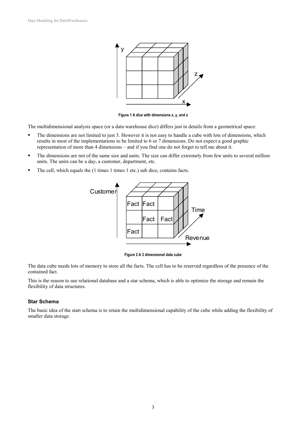

**Figure 1 A dice with dimensions x, y, and z** 

The multidimensional analysis space (or a data warehouse dice) differs just in details from a geometrical space:

- The dimensions are not limited to just 3. However it is not easy to handle a cube with lots of dimensions, which results in most of the implementations to be limited to 6 or 7 dimensions. Do not expect a good graphic representation of more than 4 dimensions – and if you find one do not forget to tell me about it.
- The dimensions are not of the same size and units. The size can differ extremely from few units to several million units. The units can be a day, a customer, department, etc.
- The cell, which equals the (1 times 1 times 1 etc.) sub dice, contains facts.



**Figure 2 A 3 dimensional data cube** 

The data cube needs lots of memory to store all the facts. The cell has to be reserved regardless of the presence of the contained fact.

This is the reason to use relational database and a star schema, which is able to optimize the storage and remain the flexibility of data structures.

#### **Star Schema**

The basic idea of the start schema is to retain the multidimensional capability of the cube while adding the flexibility of smaller data storage.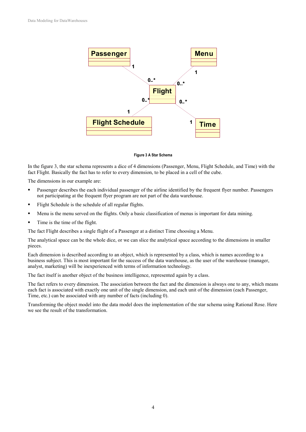

#### **Figure 3 A Star Schema**

In the figure 3, the star schema represents a dice of 4 dimensions (Passenger, Menu, Flight Schedule, and Time) with the fact Flight. Basically the fact has to refer to every dimension, to be placed in a cell of the cube.

The dimensions in our example are:

- Passenger describes the each individual passenger of the airline identified by the frequent flyer number. Passengers not participating at the frequent flyer program are not part of the data warehouse.
- Flight Schedule is the schedule of all regular flights.
- Menu is the menu served on the flights. Only a basic classification of menus is important for data mining.
- Time is the time of the flight.

The fact Flight describes a single flight of a Passenger at a distinct Time choosing a Menu.

The analytical space can be the whole dice, or we can slice the analytical space according to the dimensions in smaller pieces.

Each dimension is described according to an object, which is represented by a class, which is names according to a business subject. This is most important for the success of the data warehouse, as the user of the warehouse (manager, analyst, marketing) will be inexperienced with terms of information technology.

The fact itself is another object of the business intelligence, represented again by a class.

The fact refers to every dimension. The association between the fact and the dimension is always one to any, which means each fact is associated with exactly one unit of the single dimension, and each unit of the dimension (each Passenger, Time, etc.) can be associated with any number of facts (including 0).

Transforming the object model into the data model does the implementation of the star schema using Rational Rose. Here we see the result of the transformation.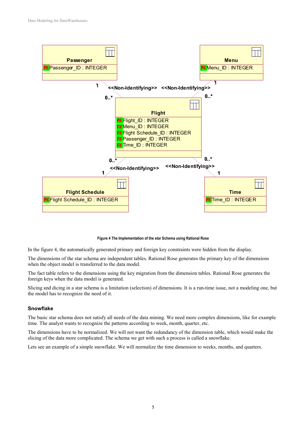

#### **Figure 4 The Implementation of the star Schema using Rational Rose**

In the figure 4, the automatically generated primary and foreign key constraints were hidden from the display.

The dimensions of the star schema are independent tables. Rational Rose generates the primary key of the dimensions when the object model is transferred to the data model.

The fact table refers to the dimensions using the key migration from the dimension tables. Rational Rose generates the foreign keys when the data model is generated.

Slicing and dicing in a star schema is a limitation (selection) of dimensions. It is a run-time issue, not a modeling one, but the model has to recognize the need of it.

#### **Snowflake**

The basic star schema does not satisfy all needs of the data mining. We need more complex dimensions, like for example time. The analyst wants to recognize the patterns according to week, month, quarter, etc.

The dimensions have to be normalized. We will not want the redundancy of the dimension table, which would make the slicing of the data more complicated. The schema we get with such a process is called a snowflake.

Lets see an example of a simple snowflake. We will normalize the time dimension to weeks, months, and quarters.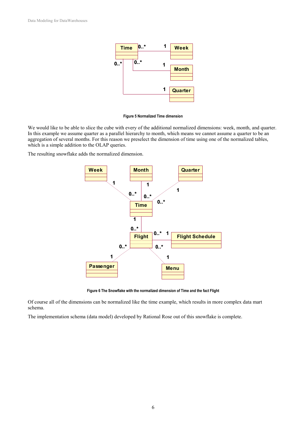

#### **Figure 5 Normalized Time dimension**

We would like to be able to slice the cube with every of the additional normalized dimensions: week, month, and quarter. In this example we assume quarter as a parallel hierarchy to month, which means we cannot assume a quarter to be an aggregation of several months. For this reason we preselect the dimension of time using one of the normalized tables, which is a simple addition to the OLAP queries.

The resulting snowflake adds the normalized dimension.



**Figure 6 The Snowflake with the normalized dimension of Time and the fact Flight** 

Of course all of the dimensions can be normalized like the time example, which results in more complex data mart schema.

The implementation schema (data model) developed by Rational Rose out of this snowflake is complete.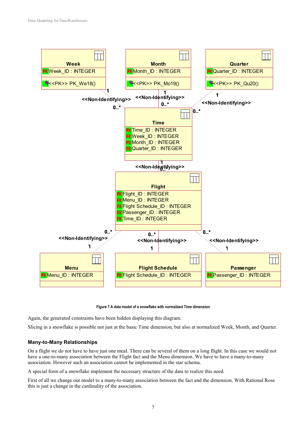

**Figure 7 A data model of a snowflake with normalized Time dimension** 

Again, the generated constraints have been hidden displaying this diagram.

Slicing in a snowflake is possible not just at the basic Time dimension, but also at normalized Week, Month, and Quarter.

#### **Many-to-Many Relationships**

On a flight we do not have to have just one meal. There can be several of them on a long flight. In this case we would not have a one-to-many association between the Flight fact and the Menu dimension. We have to have a many-to-many association. However such an association cannot be implemented in the star schema.

A special form of a snowflake implement the necessary structure of the data to realize this need.

First of all we change our model to a many-to-many association between the fact and the dimension. With Rational Rose this is just a change in the cardinality of the association.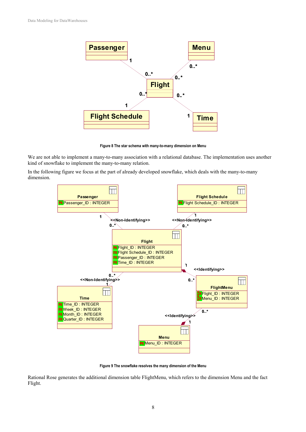

**Figure 8 The star schema with many-to-many dimension on Menu** 

We are not able to implement a many-to-many association with a relational database. The implementation uses another kind of snowflake to implement the many-to-many relation.

In the following figure we focus at the part of already developed snowflake, which deals with the many-to-many dimension.



**Figure 9 The snowflake resolves the many dimension of the Menu** 

Rational Rose generates the additional dimension table FlightMenu, which refers to the dimension Menu and the fact Flight.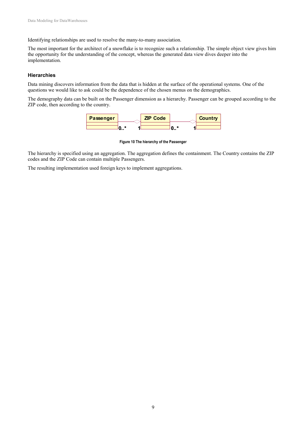Identifying relationships are used to resolve the many-to-many association.

The most important for the architect of a snowflake is to recognize such a relationship. The simple object view gives him the opportunity for the understanding of the concept, whereas the generated data view dives deeper into the implementation.

#### **Hierarchies**

Data mining discovers information from the data that is hidden at the surface of the operational systems. One of the questions we would like to ask could be the dependence of the chosen menus on the demographics.

The demography data can be built on the Passenger dimension as a hierarchy. Passenger can be grouped according to the ZIP code, then according to the country.



**Figure 10 The hierarchy of the Passenger** 

The hierarchy is specified using an aggregation. The aggregation defines the containment. The Country contains the ZIP codes and the ZIP Code can contain multiple Passengers.

The resulting implementation used foreign keys to implement aggregations.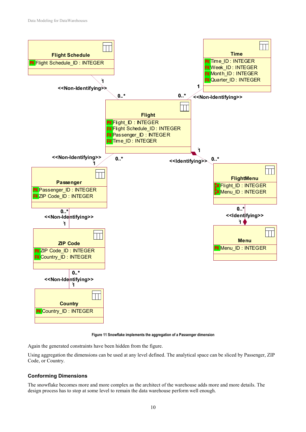

**Figure 11 Snowflake implements the aggregation of a Passenger dimension** 

Again the generated constraints have been hidden from the figure.

Using aggregation the dimensions can be used at any level defined. The analytical space can be sliced by Passenger, ZIP Code, or Country.

#### **Conforming Dimensions**

The snowflake becomes more and more complex as the architect of the warehouse adds more and more details. The design process has to stop at some level to remain the data warehouse perform well enough.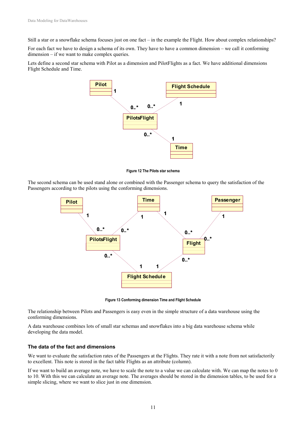Still a star or a snowflake schema focuses just on one fact – in the example the Flight. How about complex relationships?

For each fact we have to design a schema of its own. They have to have a common dimension – we call it conforming dimension – if we want to make complex queries.

Lets define a second star schema with Pilot as a dimension and PilotFlights as a fact. We have additional dimensions Flight Schedule and Time.



**Figure 12 The Pilots star schema** 

The second schema can be used stand alone or combined with the Passenger schema to query the satisfaction of the Passengers according to the pilots using the conforming dimensions.



**Figure 13 Conforming dimension Time and Flight Schedule** 

The relationship between Pilots and Passengers is easy even in the simple structure of a data warehouse using the conforming dimensions.

A data warehouse combines lots of small star schemas and snowflakes into a big data warehouse schema while developing the data model.

#### **The data of the fact and dimensions**

We want to evaluate the satisfaction rates of the Passengers at the Flights. They rate it with a note from not satisfactorily to excellent. This note is stored in the fact table Flights as an attribute (column).

If we want to build an average note, we have to scale the note to a value we can calculate with. We can map the notes to 0 to 10. With this we can calculate an average note. The averages should be stored in the dimension tables, to be used for a simple slicing, where we want to slice just in one dimension.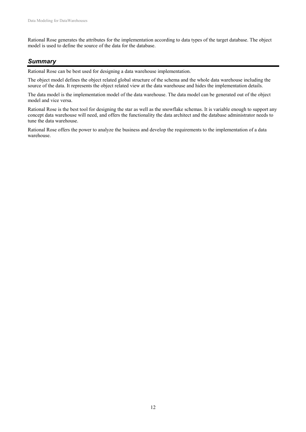Rational Rose generates the attributes for the implementation according to data types of the target database. The object model is used to define the source of the data for the database.

#### *Summary*

Rational Rose can be best used for designing a data warehouse implementation.

The object model defines the object related global structure of the schema and the whole data warehouse including the source of the data. It represents the object related view at the data warehouse and hides the implementation details.

The data model is the implementation model of the data warehouse. The data model can be generated out of the object model and vice versa.

Rational Rose is the best tool for designing the star as well as the snowflake schemas. It is variable enough to support any concept data warehouse will need, and offers the functionality the data architect and the database administrator needs to tune the data warehouse.

Rational Rose offers the power to analyze the business and develop the requirements to the implementation of a data warehouse.